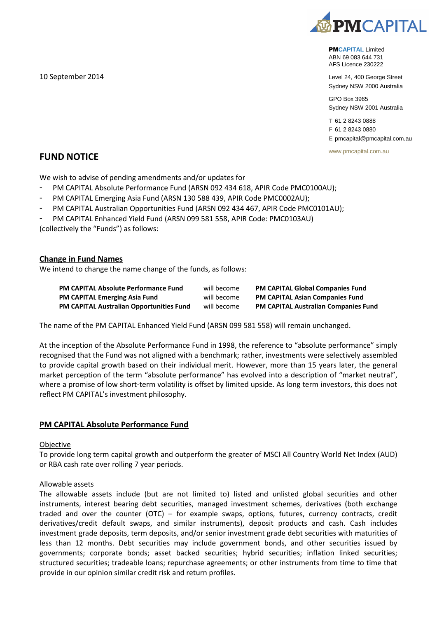

PM**CAPITAL** Limited ABN 69 083 644 731 AFS Licence 230222

Level 24, 400 George Street Sydney NSW 2000 Australia

GPO Box 3965 Sydney NSW 2001 Australia

**T** 61 2 8243 0888 **F** 61 2 8243 0880

**E** pmcapital@pmcapital.com.au

www.pmcapital.com.au

**FUND NOTICE**

10 September 2014

We wish to advise of pending amendments and/or updates for

- PM CAPITAL Absolute Performance Fund (ARSN 092 434 618, APIR Code PMC0100AU);
- PM CAPITAL Emerging Asia Fund (ARSN 130 588 439, APIR Code PMC0002AU);
- PM CAPITAL Australian Opportunities Fund (ARSN 092 434 467, APIR Code PMC0101AU);
- PM CAPITAL Enhanced Yield Fund (ARSN 099 581 558, APIR Code: PMC0103AU)

(collectively the "Funds") as follows:

# **Change in Fund Names**

We intend to change the name change of the funds, as follows:

| <b>PM CAPITAL Absolute Performance Fund</b>     | will become | <b>PM CAPITAL Global Companies Fund</b>     |
|-------------------------------------------------|-------------|---------------------------------------------|
| <b>PM CAPITAL Emerging Asia Fund</b>            | will become | <b>PM CAPITAL Asian Companies Fund</b>      |
| <b>PM CAPITAL Australian Opportunities Fund</b> | will become | <b>PM CAPITAL Australian Companies Fund</b> |

The name of the PM CAPITAL Enhanced Yield Fund (ARSN 099 581 558) will remain unchanged.

At the inception of the Absolute Performance Fund in 1998, the reference to "absolute performance" simply recognised that the Fund was not aligned with a benchmark; rather, investments were selectively assembled to provide capital growth based on their individual merit. However, more than 15 years later, the general market perception of the term "absolute performance" has evolved into a description of "market neutral", where a promise of low short-term volatility is offset by limited upside. As long term investors, this does not reflect PM CAPITAL's investment philosophy.

# **PM CAPITAL Absolute Performance Fund**

## Objective

To provide long term capital growth and outperform the greater of MSCI All Country World Net Index (AUD) or RBA cash rate over rolling 7 year periods.

## Allowable assets

The allowable assets include (but are not limited to) listed and unlisted global securities and other instruments, interest bearing debt securities, managed investment schemes, derivatives (both exchange traded and over the counter (OTC) – for example swaps, options, futures, currency contracts, credit derivatives/credit default swaps, and similar instruments), deposit products and cash. Cash includes investment grade deposits, term deposits, and/or senior investment grade debt securities with maturities of less than 12 months. Debt securities may include government bonds, and other securities issued by governments; corporate bonds; asset backed securities; hybrid securities; inflation linked securities; structured securities; tradeable loans; repurchase agreements; or other instruments from time to time that provide in our opinion similar credit risk and return profiles.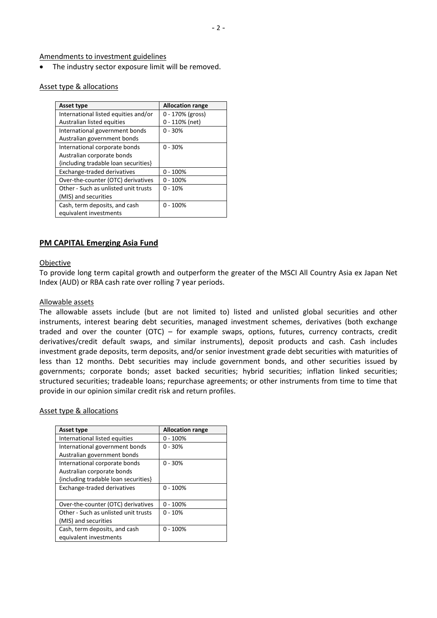Amendments to investment guidelines

The industry sector exposure limit will be removed.

#### Asset type & allocations

| <b>Asset type</b>                    | <b>Allocation range</b> |
|--------------------------------------|-------------------------|
| International listed equities and/or | 0 - 170% (gross)        |
| Australian listed equities           | $0 - 110\%$ (net)       |
| International government bonds       | $0 - 30%$               |
| Australian government bonds          |                         |
| International corporate bonds        | $0 - 30%$               |
| Australian corporate bonds           |                         |
| {including tradable loan securities} |                         |
| Exchange-traded derivatives          | $0 - 100%$              |
| Over-the-counter (OTC) derivatives   | $0 - 100%$              |
| Other - Such as unlisted unit trusts | $0 - 10%$               |
| (MIS) and securities                 |                         |
| Cash, term deposits, and cash        | $0 - 100%$              |
| equivalent investments               |                         |

# **PM CAPITAL Emerging Asia Fund**

#### **Objective**

To provide long term capital growth and outperform the greater of the MSCI All Country Asia ex Japan Net Index (AUD) or RBA cash rate over rolling 7 year periods.

#### Allowable assets

The allowable assets include (but are not limited to) listed and unlisted global securities and other instruments, interest bearing debt securities, managed investment schemes, derivatives (both exchange traded and over the counter (OTC) – for example swaps, options, futures, currency contracts, credit derivatives/credit default swaps, and similar instruments), deposit products and cash. Cash includes investment grade deposits, term deposits, and/or senior investment grade debt securities with maturities of less than 12 months. Debt securities may include government bonds, and other securities issued by governments; corporate bonds; asset backed securities; hybrid securities; inflation linked securities; structured securities; tradeable loans; repurchase agreements; or other instruments from time to time that provide in our opinion similar credit risk and return profiles.

Asset type & allocations

| <b>Asset type</b>                    | <b>Allocation range</b> |
|--------------------------------------|-------------------------|
| International listed equities        | $0 - 100%$              |
| International government bonds       | $0 - 30%$               |
| Australian government bonds          |                         |
| International corporate bonds        | $0 - 30%$               |
| Australian corporate bonds           |                         |
| {including tradable loan securities} |                         |
| Exchange-traded derivatives          | $0 - 100%$              |
|                                      |                         |
| Over-the-counter (OTC) derivatives   | $0 - 100%$              |
| Other - Such as unlisted unit trusts | $0 - 10%$               |
| (MIS) and securities                 |                         |
| Cash, term deposits, and cash        | $0 - 100%$              |
| equivalent investments               |                         |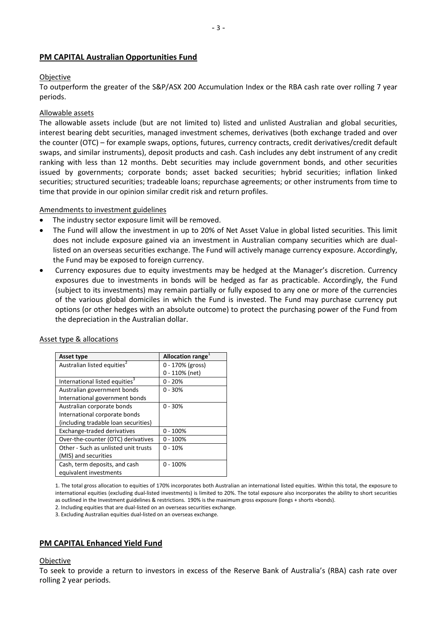# **PM CAPITAL Australian Opportunities Fund**

# **Objective**

To outperform the greater of the S&P/ASX 200 Accumulation Index or the RBA cash rate over rolling 7 year periods.

# Allowable assets

The allowable assets include (but are not limited to) listed and unlisted Australian and global securities, interest bearing debt securities, managed investment schemes, derivatives (both exchange traded and over the counter (OTC) – for example swaps, options, futures, currency contracts, credit derivatives/credit default swaps, and similar instruments), deposit products and cash. Cash includes any debt instrument of any credit ranking with less than 12 months. Debt securities may include government bonds, and other securities issued by governments; corporate bonds; asset backed securities; hybrid securities; inflation linked securities; structured securities; tradeable loans; repurchase agreements; or other instruments from time to time that provide in our opinion similar credit risk and return profiles.

## Amendments to investment guidelines

- The industry sector exposure limit will be removed.
- The Fund will allow the investment in up to 20% of Net Asset Value in global listed securities. This limit does not include exposure gained via an investment in Australian company securities which are duallisted on an overseas securities exchange. The Fund will actively manage currency exposure. Accordingly, the Fund may be exposed to foreign currency.
- Currency exposures due to equity investments may be hedged at the Manager's discretion. Currency exposures due to investments in bonds will be hedged as far as practicable. Accordingly, the Fund (subject to its investments) may remain partially or fully exposed to any one or more of the currencies of the various global domiciles in which the Fund is invested. The Fund may purchase currency put options (or other hedges with an absolute outcome) to protect the purchasing power of the Fund from the depreciation in the Australian dollar.

| Asset type                                 | Allocation range  |
|--------------------------------------------|-------------------|
| Australian listed equities <sup>2</sup>    | 0 - 170% (gross)  |
|                                            | $0 - 110\%$ (net) |
| International listed equities <sup>3</sup> | $0 - 20%$         |
| Australian government bonds                | $0 - 30%$         |
| International government bonds             |                   |
| Australian corporate bonds                 | $0 - 30%$         |
| International corporate bonds              |                   |
| {including tradable loan securities}       |                   |
| Exchange-traded derivatives                | $0 - 100%$        |
| Over-the-counter (OTC) derivatives         | $0 - 100%$        |
| Other - Such as unlisted unit trusts       | $0 - 10%$         |
| (MIS) and securities                       |                   |
| Cash, term deposits, and cash              | $0 - 100%$        |
| equivalent investments                     |                   |

#### Asset type & allocations

1. The total gross allocation to equities of 170% incorporates both Australian an international listed equities. Within this total, the exposure to international equities (excluding dual-listed investments) is limited to 20%. The total exposure also incorporates the ability to short securities as outlined in the Investment guidelines & restrictions. 190% is the maximum gross exposure (longs + shorts +bonds).

2. Including equities that are dual-listed on an overseas securities exchange.

3. Excluding Australian equities dual-listed on an overseas exchange.

# **PM CAPITAL Enhanced Yield Fund**

#### Objective

To seek to provide a return to investors in excess of the Reserve Bank of Australia's (RBA) cash rate over rolling 2 year periods.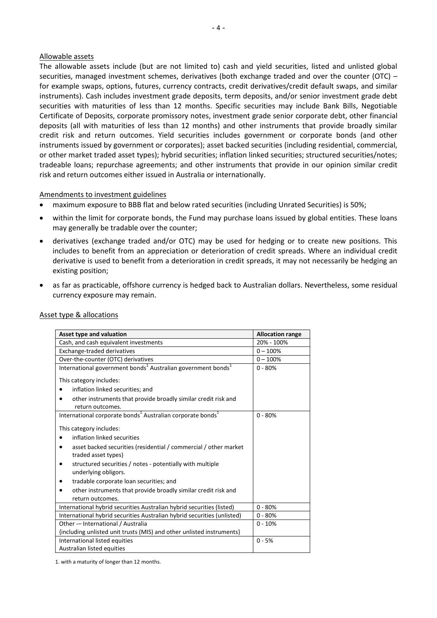#### Allowable assets

The allowable assets include (but are not limited to) cash and yield securities, listed and unlisted global securities, managed investment schemes, derivatives (both exchange traded and over the counter (OTC) – for example swaps, options, futures, currency contracts, credit derivatives/credit default swaps, and similar instruments). Cash includes investment grade deposits, term deposits, and/or senior investment grade debt securities with maturities of less than 12 months. Specific securities may include Bank Bills, Negotiable Certificate of Deposits, corporate promissory notes, investment grade senior corporate debt, other financial deposits (all with maturities of less than 12 months) and other instruments that provide broadly similar credit risk and return outcomes. Yield securities includes government or corporate bonds (and other instruments issued by government or corporates); asset backed securities (including residential, commercial, or other market traded asset types); hybrid securities; inflation linked securities; structured securities/notes; tradeable loans; repurchase agreements; and other instruments that provide in our opinion similar credit risk and return outcomes either issued in Australia or internationally.

## Amendments to investment guidelines

- maximum exposure to BBB flat and below rated securities (including Unrated Securities) is 50%;
- within the limit for corporate bonds, the Fund may purchase loans issued by global entities. These loans may generally be tradable over the counter;
- derivatives (exchange traded and/or OTC) may be used for hedging or to create new positions. This includes to benefit from an appreciation or deterioration of credit spreads. Where an individual credit derivative is used to benefit from a deterioration in credit spreads, it may not necessarily be hedging an existing position;
- as far as practicable, offshore currency is hedged back to Australian dollars. Nevertheless, some residual currency exposure may remain.

| Asset type and valuation                                                             | <b>Allocation range</b> |
|--------------------------------------------------------------------------------------|-------------------------|
| Cash, and cash equivalent investments                                                | 20% - 100%              |
| Exchange-traded derivatives                                                          | $0 - 100%$              |
| Over-the-counter (OTC) derivatives                                                   | $0 - 100%$              |
| International government bonds <sup>1</sup> Australian government bonds <sup>1</sup> | $0 - 80%$               |
| This category includes:                                                              |                         |
| inflation linked securities; and                                                     |                         |
| other instruments that provide broadly similar credit risk and<br>return outcomes.   |                         |
| International corporate bonds <sup>1</sup> Australian corporate bonds <sup>1</sup>   | $0 - 80%$               |
| This category includes:                                                              |                         |
| inflation linked securities                                                          |                         |
| asset backed securities (residential / commercial / other market                     |                         |
| traded asset types)                                                                  |                         |
| structured securities / notes - potentially with multiple<br>underlying obligors.    |                         |
| tradable corporate loan securities; and                                              |                         |
| other instruments that provide broadly similar credit risk and                       |                         |
| return outcomes.                                                                     |                         |
| International hybrid securities Australian hybrid securities (listed)                | $0 - 80%$               |
| International hybrid securities Australian hybrid securities (unlisted)              | $0 - 80%$               |
| Other -- International / Australia                                                   | $0 - 10%$               |
| {including unlisted unit trusts (MIS) and other unlisted instruments}                |                         |
| International listed equities                                                        | $0 - 5%$                |
| Australian listed equities                                                           |                         |

## Asset type & allocations

1. with a maturity of longer than 12 months.